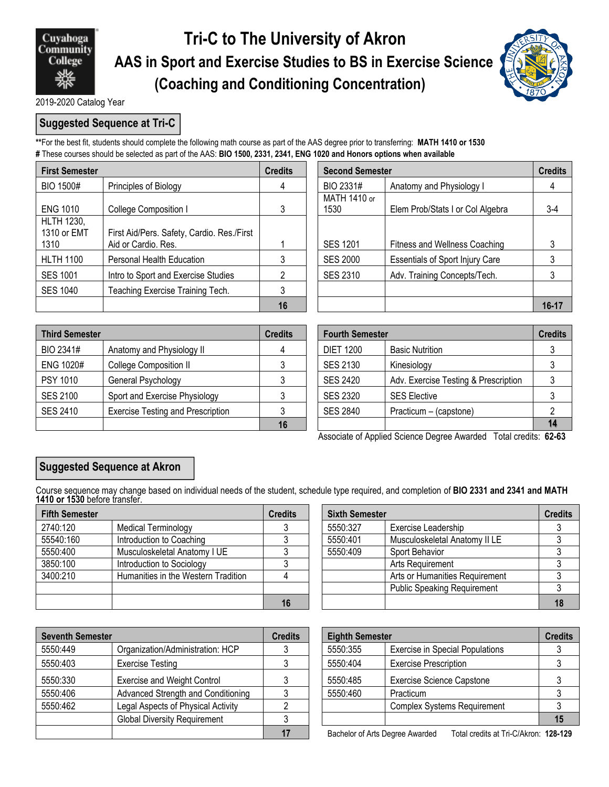

## **Tri-C to The University of Akron AAS in Sport and Exercise Studies to BS in Exercise Science (Coaching and Conditioning Concentration)**



2019-2020 Catalog Year

## **Suggested Sequence at Tri-C**

**\*\***For the best fit, students should complete the following math course as part of the AAS degree prior to transferring: **MATH 1410 or 1530 #** These courses should be selected as part of the AAS: **BIO 1500, 2331, 2341, ENG 1020 and Honors options when available**

| <b>First Semester</b>                    |                                                                   | <b>Credits</b> | <b>Second Semester</b> |                                        | <b>Credits</b> |
|------------------------------------------|-------------------------------------------------------------------|----------------|------------------------|----------------------------------------|----------------|
| <b>BIO 1500#</b>                         | Principles of Biology                                             | 4              | BIO 2331#              | Anatomy and Physiology I               | 4              |
| <b>ENG 1010</b>                          | <b>College Composition I</b>                                      |                | MATH 1410 or<br>1530   | Elem Prob/Stats I or Col Algebra       | $3-4$          |
| <b>HLTH 1230,</b><br>1310 or EMT<br>1310 | First Aid/Pers. Safety, Cardio. Res./First<br>Aid or Cardio. Res. |                | <b>SES 1201</b>        | Fitness and Wellness Coaching          |                |
| <b>HLTH 1100</b>                         | Personal Health Education                                         |                | <b>SES 2000</b>        | <b>Essentials of Sport Injury Care</b> |                |
| <b>SES 1001</b>                          | Intro to Sport and Exercise Studies                               |                | <b>SES 2310</b>        | Adv. Training Concepts/Tech.           |                |
| SES 1040                                 | Teaching Exercise Training Tech.                                  |                |                        |                                        |                |
|                                          |                                                                   | 16             |                        |                                        | $16 - 17$      |

|                                                                   | <b>Credits</b> | <b>Second Semester</b> | <b>Credits</b>                         |           |
|-------------------------------------------------------------------|----------------|------------------------|----------------------------------------|-----------|
| Principles of Biology                                             |                | BIO 2331#              | Anatomy and Physiology I               |           |
| College Composition I                                             |                | MATH 1410 or<br>1530   | Elem Prob/Stats I or Col Algebra       | 3-4       |
| First Aid/Pers. Safety, Cardio. Res./First<br>Aid or Cardio. Res. |                | <b>SES 1201</b>        | Fitness and Wellness Coaching          |           |
| Personal Health Education                                         |                | <b>SES 2000</b>        | <b>Essentials of Sport Injury Care</b> |           |
| Intro to Sport and Exercise Studies                               |                | <b>SES 2310</b>        | Adv. Training Concepts/Tech.           |           |
| Teaching Exercise Training Tech.                                  |                |                        |                                        |           |
|                                                                   | 16             |                        |                                        | $16 - 17$ |

| <b>Third Semester</b> |                                          | <b>Credits</b> |                  | <b>Fourth Semester</b>               |    |  |
|-----------------------|------------------------------------------|----------------|------------------|--------------------------------------|----|--|
| BIO 2341#             | Anatomy and Physiology II                | 4              | <b>DIET 1200</b> | Basic Nutrition                      |    |  |
| ENG 1020#             | <b>College Composition II</b>            |                | SES 2130         | Kinesiology                          |    |  |
| PSY 1010              | General Psychology                       |                | SES 2420         | Adv. Exercise Testing & Prescription |    |  |
| <b>SES 2100</b>       | Sport and Exercise Physiology            |                | SES 2320         | <b>SES Elective</b>                  |    |  |
| <b>SES 2410</b>       | <b>Exercise Testing and Prescription</b> |                | <b>SES 2840</b>  | Practicum – (capstone)               |    |  |
|                       |                                          | 16             |                  |                                      | 14 |  |

| dits           | <b>Fourth Semester</b> |                                      |  |  |  |
|----------------|------------------------|--------------------------------------|--|--|--|
| $\overline{4}$ | <b>DIET 1200</b>       | <b>Basic Nutrition</b>               |  |  |  |
| 3              | <b>SES 2130</b>        | Kinesiology                          |  |  |  |
| 3              | <b>SES 2420</b>        | Adv. Exercise Testing & Prescription |  |  |  |
| 3              | <b>SES 2320</b>        | <b>SES Elective</b>                  |  |  |  |
| 3              | <b>SES 2840</b>        | Practicum - (capstone)               |  |  |  |
| 16             |                        |                                      |  |  |  |

Associate of Applied Science Degree Awarded Total credits: **62-63**

## **Suggested Sequence at Akron**

Course sequence may change based on individual needs of the student, schedule type required, and completion of **BIO 2331 and 2341 and MATH 1410 or 1530** before transfer.

| <b>Fifth Semester</b> |                                     | <b>Credits</b> |          | <b>Sixth Semester</b>              |    |
|-----------------------|-------------------------------------|----------------|----------|------------------------------------|----|
| 2740:120              | <b>Medical Terminology</b>          |                | 5550:327 | Exercise Leadership                |    |
| 55540:160             | Introduction to Coaching            |                | 5550:401 | Musculoskeletal Anatomy II LE      |    |
| 5550:400              | Musculoskeletal Anatomy I UE        |                | 5550:409 | Sport Behavior                     |    |
| 3850:100              | Introduction to Sociology           |                |          | Arts Requirement                   |    |
| 3400:210              | Humanities in the Western Tradition |                |          | Arts or Humanities Requirement     |    |
|                       |                                     |                |          | <b>Public Speaking Requirement</b> |    |
|                       |                                     |                |          |                                    | 18 |

| <b>Seventh Semester</b> |                                           | <b>Credits</b> | <b>Eighth Semester</b> |                                                                          | <b>Credits</b> |
|-------------------------|-------------------------------------------|----------------|------------------------|--------------------------------------------------------------------------|----------------|
| 5550:449                | Organization/Administration: HCP          |                | 5550:355               | <b>Exercise in Special Populations</b>                                   |                |
| 5550:403                | <b>Exercise Testing</b>                   |                | 5550:404               | <b>Exercise Prescription</b>                                             |                |
| 5550:330                | <b>Exercise and Weight Control</b>        |                | 5550:485               | <b>Exercise Science Capstone</b>                                         |                |
| 5550:406                | Advanced Strength and Conditioning        |                | 5550:460               | Practicum                                                                |                |
| 5550:462                | <b>Legal Aspects of Physical Activity</b> |                |                        | <b>Complex Systems Requirement</b>                                       |                |
|                         | <b>Global Diversity Requirement</b>       |                |                        |                                                                          | 15             |
|                         |                                           |                |                        | Bachelor of Arts Degree Awarded<br>Total credits at Tri-C/Akron: 128-129 |                |

| dits | <b>Sixth Semester</b>           |                                    | <b>Credits</b> |
|------|---------------------------------|------------------------------------|----------------|
| 3    | 5550:327<br>Exercise Leadership |                                    |                |
| 3    | 5550:401                        | Musculoskeletal Anatomy II LE      |                |
| 3    | 5550:409                        | Sport Behavior                     |                |
| 3    |                                 | Arts Requirement                   |                |
|      |                                 | Arts or Humanities Requirement     |                |
|      |                                 | <b>Public Speaking Requirement</b> |                |
| 16   |                                 |                                    | 18             |

|                                     | <b>Credits</b>                           |  |          | <b>Eighth Semester</b>                 |  |  |
|-------------------------------------|------------------------------------------|--|----------|----------------------------------------|--|--|
| Organization/Administration: HCP    |                                          |  | 5550:355 | <b>Exercise in Special Populations</b> |  |  |
| <b>Exercise Testing</b>             | <b>Exercise Prescription</b><br>5550:404 |  |          |                                        |  |  |
| <b>Exercise and Weight Control</b>  |                                          |  | 5550:485 | <b>Exercise Science Capstone</b>       |  |  |
| Advanced Strength and Conditioning  |                                          |  | 5550:460 | Practicum                              |  |  |
| Legal Aspects of Physical Activity  |                                          |  |          | <b>Complex Systems Requirement</b>     |  |  |
| <b>Global Diversity Requirement</b> |                                          |  |          |                                        |  |  |

**17** Bachelor of Arts Degree Awarded Total credits at Tri-C/Akron: **128-129**